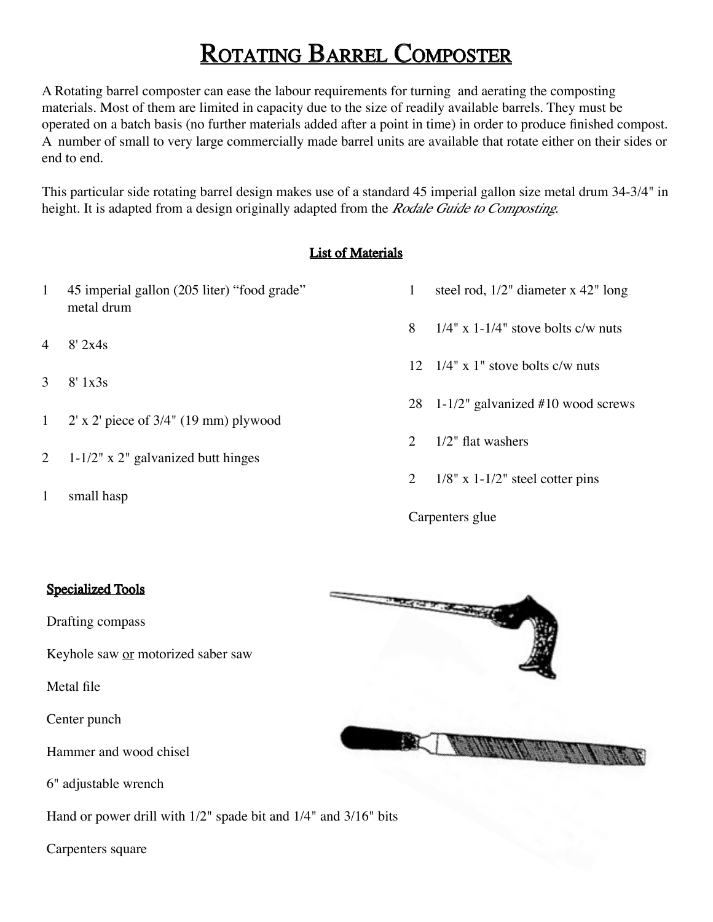## ROTATING BARREL COMPOSTER

A Rotating barrel composter can ease the labour requirements for turning and aerating the composting materials. Most of them are limited in capacity due to the size of readily available barrels. They must be operated on a batch basis (no further materials added after a point in time) in order to produce finished compost. A number of small to very large commercially made barrel units are available that rotate either on their sides or end to end.

This particular side rotating barrel design makes use of a standard 45 imperial gallon size metal drum 34-3/4" in height. It is adapted from a design originally adapted from the *Rodale Guide to Composting*.

## List of Materials

- 1 45 imperial gallon (205 liter) "food grade" metal drum
- 4 8' 2x4s
- 3 8' 1x3s
- 1 2' x 2' piece of 3/4" (19 mm) plywood
- 2 1-1/2" x 2" galvanized butt hinges
- 1 small hasp
- 1 steel rod, 1/2" diameter x 42" long
- 8  $1/4$ " x 1-1/4" stove bolts c/w nuts
- 12  $1/4$ " x 1" stove bolts c/w nuts
- 28 1-1/2" galvanized #10 wood screws
- 2 1/2" flat washers
- 2  $1/8$ " x 1-1/2" steel cotter pins

Carpenters glue

## Specialized Tools

Drafting compass

Keyhole saw or motorized saber saw

Metal file

Center punch

Hammer and wood chisel

6" adjustable wrench

Hand or power drill with 1/2" spade bit and 1/4" and 3/16" bits

Carpenters square

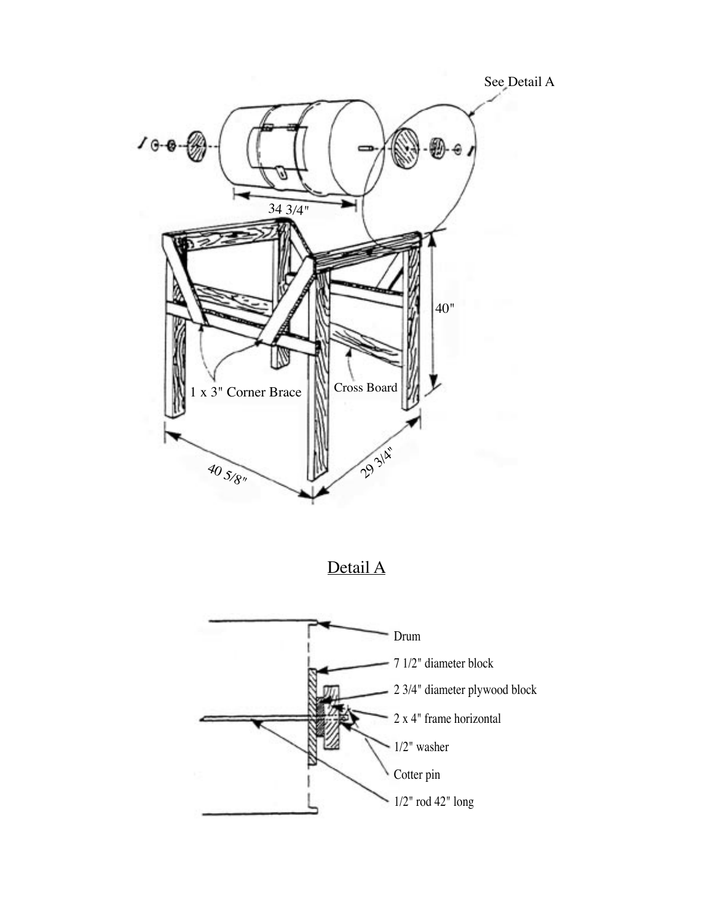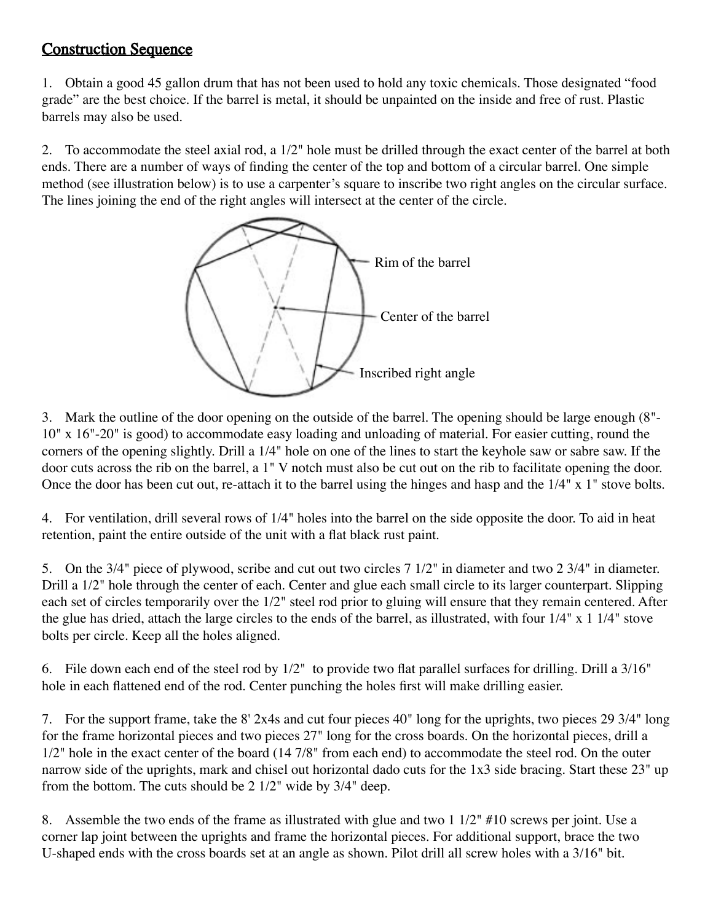## Construction Sequence

1. Obtain a good 45 gallon drum that has not been used to hold any toxic chemicals. Those designated "food grade" are the best choice. If the barrel is metal, it should be unpainted on the inside and free of rust. Plastic barrels may also be used.

2. To accommodate the steel axial rod, a 1/2" hole must be drilled through the exact center of the barrel at both ends. There are a number of ways of finding the center of the top and bottom of a circular barrel. One simple method (see illustration below) is to use a carpenter's square to inscribe two right angles on the circular surface. The lines joining the end of the right angles will intersect at the center of the circle.



3. Mark the outline of the door opening on the outside of the barrel. The opening should be large enough (8"- 10" x 16"-20" is good) to accommodate easy loading and unloading of material. For easier cutting, round the corners of the opening slightly. Drill a 1/4" hole on one of the lines to start the keyhole saw or sabre saw. If the door cuts across the rib on the barrel, a 1" V notch must also be cut out on the rib to facilitate opening the door. Once the door has been cut out, re-attach it to the barrel using the hinges and hasp and the 1/4" x 1" stove bolts.

4. For ventilation, drill several rows of 1/4" holes into the barrel on the side opposite the door. To aid in heat retention, paint the entire outside of the unit with a flat black rust paint.

5. On the 3/4" piece of plywood, scribe and cut out two circles 7 1/2" in diameter and two 2 3/4" in diameter. Drill a 1/2" hole through the center of each. Center and glue each small circle to its larger counterpart. Slipping each set of circles temporarily over the 1/2" steel rod prior to gluing will ensure that they remain centered. After the glue has dried, attach the large circles to the ends of the barrel, as illustrated, with four 1/4" x 1 1/4" stove bolts per circle. Keep all the holes aligned.

6. File down each end of the steel rod by 1/2" to provide two flat parallel surfaces for drilling. Drill a 3/16" hole in each flattened end of the rod. Center punching the holes first will make drilling easier.

7. For the support frame, take the 8' 2x4s and cut four pieces 40" long for the uprights, two pieces 29 3/4" long for the frame horizontal pieces and two pieces 27" long for the cross boards. On the horizontal pieces, drill a 1/2" hole in the exact center of the board (14 7/8" from each end) to accommodate the steel rod. On the outer narrow side of the uprights, mark and chisel out horizontal dado cuts for the 1x3 side bracing. Start these 23" up from the bottom. The cuts should be 2 1/2" wide by 3/4" deep.

8. Assemble the two ends of the frame as illustrated with glue and two 1 1/2" #10 screws per joint. Use a corner lap joint between the uprights and frame the horizontal pieces. For additional support, brace the two U-shaped ends with the cross boards set at an angle as shown. Pilot drill all screw holes with a 3/16" bit.